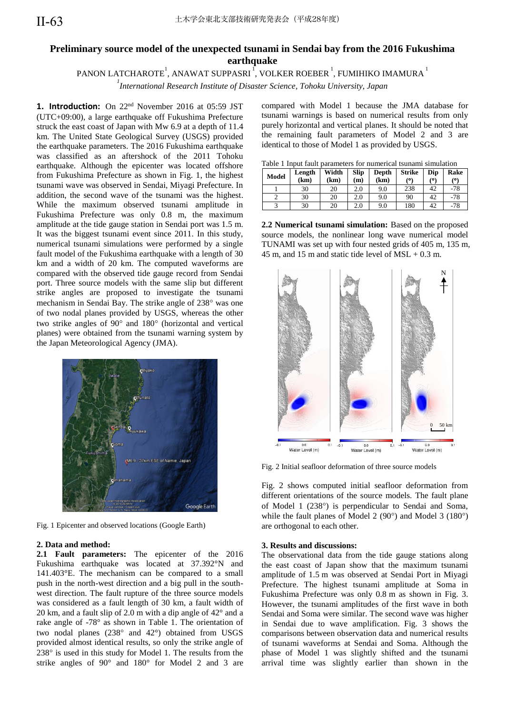# **Preliminary source model of the unexpected tsunami in Sendai bay from the 2016 Fukushima earthquake**

# PANON LATCHAROTE $^{\rm l}$ , ANAWAT SUPPASRI $^{\rm l}$ , VOLKER ROEBER  $^{\rm l}$ , FUMIHIKO IMAMURA  $^{\rm l}$

*1 International Research Institute of Disaster Science, Tohoku University, Japan* 

1. Introduction: On 22<sup>nd</sup> November 2016 at 05:59 JST (UTC+09:00), a large earthquake off Fukushima Prefecture struck the east coast of Japan with Mw 6.9 at a depth of 11.4 km. The United State Geological Survey (USGS) provided the earthquake parameters. The 2016 Fukushima earthquake was classified as an aftershock of the 2011 Tohoku earthquake. Although the epicenter was located offshore from Fukushima Prefecture as shown in Fig. 1, the highest tsunami wave was observed in Sendai, Miyagi Prefecture. In addition, the second wave of the tsunami was the highest. While the maximum observed tsunami amplitude in Fukushima Prefecture was only 0.8 m, the maximum amplitude at the tide gauge station in Sendai port was 1.5 m. It was the biggest tsunami event since 2011. In this study, numerical tsunami simulations were performed by a single fault model of the Fukushima earthquake with a length of 30 km and a width of 20 km. The computed waveforms are compared with the observed tide gauge record from Sendai port. Three source models with the same slip but different strike angles are proposed to investigate the tsunami mechanism in Sendai Bay. The strike angle of 238° was one of two nodal planes provided by USGS, whereas the other two strike angles of  $90^{\circ}$  and  $180^{\circ}$  (horizontal and vertical planes) were obtained from the tsunami warning system by the Japan Meteorological Agency (JMA).



Fig. 1 Epicenter and observed locations (Google Earth)

## **2. Data and method:**

**2.1 Fault parameters:** The epicenter of the 2016 Fukushima earthquake was located at 37.392°N and 141.403°E. The mechanism can be compared to a small push in the north-west direction and a big pull in the southwest direction. The fault rupture of the three source models was considered as a fault length of 30 km, a fault width of 20 km, and a fault slip of 2.0 m with a dip angle of 42° and a rake angle of -78° as shown in Table 1. The orientation of two nodal planes  $(238^{\circ}$  and  $42^{\circ})$  obtained from USGS provided almost identical results, so only the strike angle of  $238^\circ$  is used in this study for Model 1. The results from the strike angles of 90° and 180° for Model 2 and 3 are

compared with Model 1 because the JMA database for tsunami warnings is based on numerical results from only purely horizontal and vertical planes. It should be noted that the remaining fault parameters of Model 2 and 3 are identical to those of Model 1 as provided by USGS.

|  |  |  |  |  |  |  | Table 1 Input fault parameters for numerical tsunami simulation |
|--|--|--|--|--|--|--|-----------------------------------------------------------------|
|--|--|--|--|--|--|--|-----------------------------------------------------------------|

| <b>Model</b> | Length<br>(km) | Width<br>(km) | <b>Slip</b><br>(m) | Depth<br>(km) | <b>Strike</b><br>70 | Dip<br>٬٥١ | Rake<br>(۵۱ |
|--------------|----------------|---------------|--------------------|---------------|---------------------|------------|-------------|
|              | 30             | 20            | 2.0                | 9.0           | 238                 | 42         | -78         |
|              | 30             | 20            | 2.0                | 9.0           | 90                  | 42         | $-78$       |
|              | 30             | 20            | 2.0                | 9.0           | 180                 | 42         | -78         |

**2.2 Numerical tsunami simulation:** Based on the proposed source models, the nonlinear long wave numerical model TUNAMI was set up with four nested grids of 405 m, 135 m, 45 m, and 15 m and static tide level of MSL + 0.3 m.



Fig. 2 Initial seafloor deformation of three source models

Fig. 2 shows computed initial seafloor deformation from different orientations of the source models. The fault plane of Model 1 (238°) is perpendicular to Sendai and Soma, while the fault planes of Model 2 (90 $^{\circ}$ ) and Model 3 (180 $^{\circ}$ ) are orthogonal to each other.

## **3. Results and discussions:**

The observational data from the tide gauge stations along the east coast of Japan show that the maximum tsunami amplitude of 1.5 m was observed at Sendai Port in Miyagi Prefecture. The highest tsunami amplitude at Soma in Fukushima Prefecture was only 0.8 m as shown in Fig. 3. However, the tsunami amplitudes of the first wave in both Sendai and Soma were similar. The second wave was higher in Sendai due to wave amplification. Fig. 3 shows the comparisons between observation data and numerical results of tsunami waveforms at Sendai and Soma. Although the phase of Model 1 was slightly shifted and the tsunami arrival time was slightly earlier than shown in the